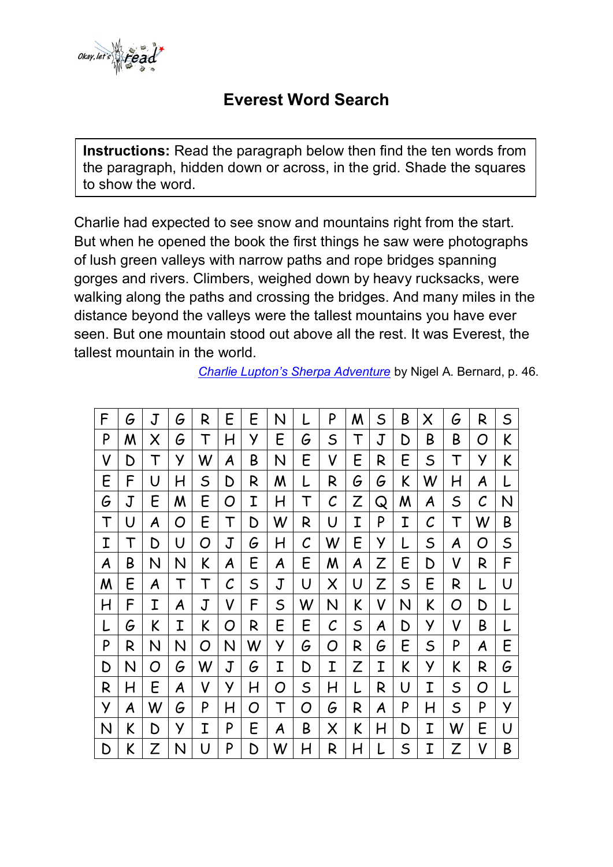

## **Everest Word Search**

**Instructions:** Read the paragraph below then find the ten words from the paragraph, hidden down or across, in the grid. Shade the squares to show the word.

Charlie had expected to see snow and mountains right from the start. But when he opened the book the first things he saw were photographs of lush green valleys with narrow paths and rope bridges spanning gorges and rivers. Climbers, weighed down by heavy rucksacks, were walking along the paths and crossing the bridges. And many miles in the distance beyond the valleys were the tallest mountains you have ever seen. But one mountain stood out above all the rest. It was Everest, the tallest mountain in the world.

*[Charlie Lupton's Sherpa Adventure](http://nigelbernard.com/book/charlie-lupton%E2%80%99s-sherpa-adventure)* by Nigel A. Bernard, p. 46.

| F | G | J | G | R           | E        | E           | N           |              | P             | M | S | B           | Χ            | G           | R | $\mathsf S$ |
|---|---|---|---|-------------|----------|-------------|-------------|--------------|---------------|---|---|-------------|--------------|-------------|---|-------------|
| P | Μ | Χ | G | Т           | H        | У           | E           | G            | $\mathsf S$   | T | J | D           | B            | Β           | O | K           |
| V | D | T | У | W           | A        | Β           | N           | E            | V             | E | R | E           | $\mathsf S$  | T           | У | K           |
| E | F | U | H | S           | D        | R           | Μ           |              | R             | G | G | K           | W            | H           | A |             |
| G | J | E | Μ | E           | O        | Ι           | H           | T            | $\mathcal C$  | Z | Q | M           | A            | $\mathsf S$ | С | N           |
| Τ | U | A | O | E           | Т        | D           | W           | R            | U             | I | P | I           | $\mathcal C$ | Т           | W | B           |
| Ι | T | D | U | O           | J        | G           | H           | $\mathcal C$ | W             | E | У |             | S            | A           | O | $\mathsf S$ |
| A | Β | N | N | K           | A        | E           | A           | E            | Μ             | A | Z | E           | D            | V           | R | F           |
| M | E | A | T | Т           | $\cal C$ | $\mathsf S$ | $\mathbf J$ | U            | Χ             | U | Z | $\mathsf S$ | E            | R           |   | U           |
| Η | F | Ι | A | $\mathbf J$ | V        | F           | S           | W            | N             | K | V | N           | K            | O           | D |             |
|   | G | K | I | K           | O        | R           | E           | E            | $\mathcal{C}$ | S | A | D           | У            | V           | Β |             |
| P | R | N | N | O           | N        | W           | У           | G            | O             | R | G | E           | $\mathsf S$  | P           | A | E           |
| D | N | O | G | W           | J        | G           | I           | D            | I             | Z | I | K           | У            | K           | R | G           |
| R | H | E | A | V           | У        | H           | O           | $\mathsf S$  | H             | L | R | U           | Ι            | $\mathsf S$ | O | L           |
| У | A | W | G | P           | H        | O           | T           | O            | G             | R | A | P           | H            | S           | P | У           |
| N | K | D | У | Ι           | P        | E           | A           | B            | Χ             | K | H | D           | Ι            | W           | E | U           |
| D | K | Z | N | U           | P        | D           | W           | H            | R             | H | L | S           | Ι            | Z           | V | B           |